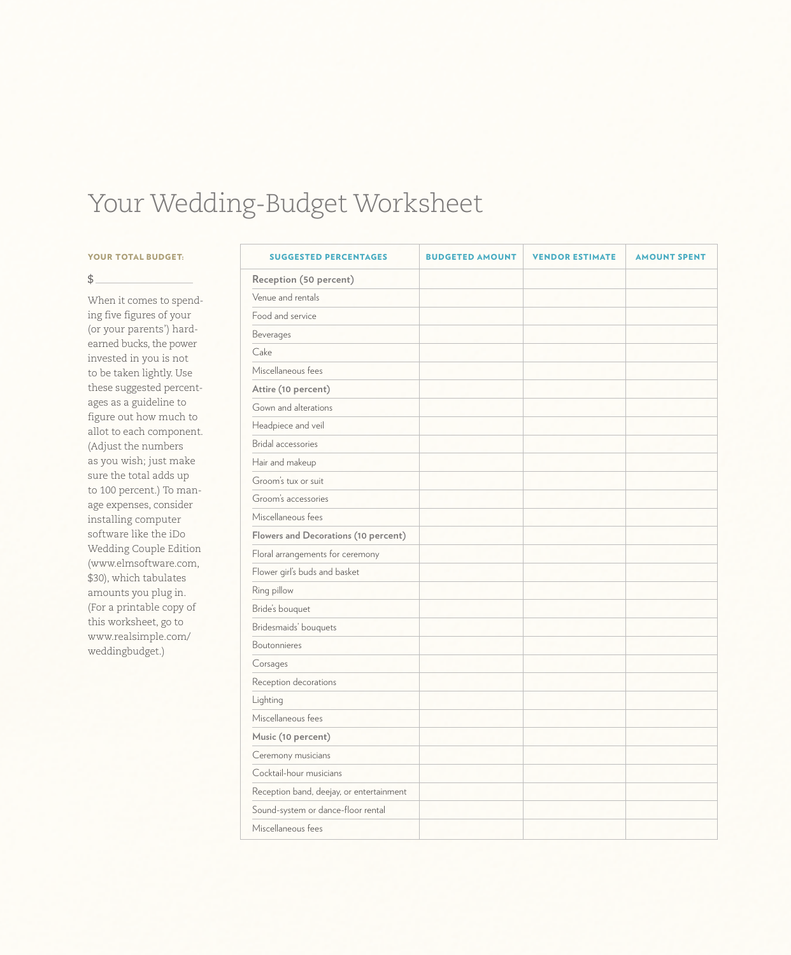## Your Wedding-Budget Worksheet

## **YOUR TOTAL BUDGET:**

## $$^{\circ}$

When it comes to spending five figures of your (or your parents') hardearned bucks, the power invested in you is not to be taken lightly. Use these suggested percentages as a guideline to figure out how much to allot to each component. (Adjust the numbers as you wish; just make sure the total adds up to 100 percent.) To manage expenses, consider installing computer software like the iDo Wedding Couple Edition (www.elmsoftware.com, \$30), which tabulates amounts you plug in. (For a printable copy of this worksheet, go to www.realsimple.com/ weddingbudget.)

| <b>SUGGESTED PERCENTAGES</b>             | <b>BUDGETED AMOUNT</b> | <b>VENDOR ESTIMATE</b> | <b>AMOUNT SPENT</b> |
|------------------------------------------|------------------------|------------------------|---------------------|
| Reception (50 percent)                   |                        |                        |                     |
| Venue and rentals                        |                        |                        |                     |
| Food and service                         |                        |                        |                     |
| Beverages                                |                        |                        |                     |
| Cake                                     |                        |                        |                     |
| Miscellaneous fees                       |                        |                        |                     |
| Attire (10 percent)                      |                        |                        |                     |
| Gown and alterations                     |                        |                        |                     |
| Headpiece and veil                       |                        |                        |                     |
| Bridal accessories                       |                        |                        |                     |
| Hair and makeup                          |                        |                        |                     |
| Groom's tux or suit                      |                        |                        |                     |
| Groom's accessories                      |                        |                        |                     |
| Miscellaneous fees                       |                        |                        |                     |
| Flowers and Decorations (10 percent)     |                        |                        |                     |
| Floral arrangements for ceremony         |                        |                        |                     |
| Flower girl's buds and basket            |                        |                        |                     |
| Ring pillow                              |                        |                        |                     |
| Bride's bouquet                          |                        |                        |                     |
| Bridesmaids' bouquets                    |                        |                        |                     |
| Boutonnieres                             |                        |                        |                     |
| Corsages                                 |                        |                        |                     |
| Reception decorations                    |                        |                        |                     |
| Lighting                                 |                        |                        |                     |
| Miscellaneous fees                       |                        |                        |                     |
| Music (10 percent)                       |                        |                        |                     |
| Ceremony musicians                       |                        |                        |                     |
| Cocktail-hour musicians                  |                        |                        |                     |
| Reception band, deejay, or entertainment |                        |                        |                     |
| Sound-system or dance-floor rental       |                        |                        |                     |
| Miscellaneous fees                       |                        |                        |                     |